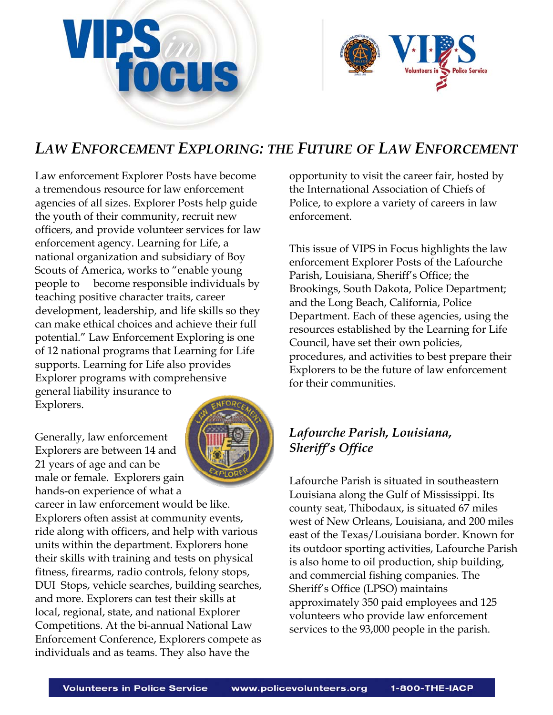



# *LAW ENFORCEMENT EXPLORING: THE FUTURE OF LAW ENFORCEMENT*

Law enforcement Explorer Posts have become a tremendous resource for law enforcement agencies of all sizes. Explorer Posts help guide the youth of their community, recruit new officers, and provide volunteer services for law enforcement agency. Learning for Life, a national organization and subsidiary of Boy Scouts of America, works to "enable young people to become responsible individuals by teaching positive character traits, career development, leadership, and life skills so they can make ethical choices and achieve their full potential." Law Enforcement Exploring is one of 12 national programs that Learning for Life supports. Learning for Life also provides Explorer programs with comprehensive general liability insurance to Explorers.

Generally, law enforcement Explorers are between 14 and 21 years of age and can be male or female. Explorers gain hands-on experience of what a



career in law enforcement would be like. Explorers often assist at community events, ride along with officers, and help with various units within the department. Explorers hone their skills with training and tests on physical fitness, firearms, radio controls, felony stops, DUI Stops, vehicle searches, building searches, and more. Explorers can test their skills at local, regional, state, and national Explorer Competitions. At the bi-annual National Law Enforcement Conference, Explorers compete as individuals and as teams. They also have the

opportunity to visit the career fair, hosted by the International Association of Chiefs of Police, to explore a variety of careers in law enforcement.

This issue of VIPS in Focus highlights the law enforcement Explorer Posts of the Lafourche Parish, Louisiana, Sheriff's Office; the Brookings, South Dakota, Police Department; and the Long Beach, California, Police Department. Each of these agencies, using the resources established by the Learning for Life Council, have set their own policies, procedures, and activities to best prepare their Explorers to be the future of law enforcement for their communities.

## *Lafourche Parish, Louisiana, Sheriff's Office*

Lafourche Parish is situated in southeastern Louisiana along the Gulf of Mississippi. Its county seat, Thibodaux, is situated 67 miles west of New Orleans, Louisiana, and 200 miles east of the Texas/Louisiana border. Known for its outdoor sporting activities, Lafourche Parish is also home to oil production, ship building, and commercial fishing companies. The Sheriff's Office (LPSO) maintains approximately 350 paid employees and 125 volunteers who provide law enforcement services to the 93,000 people in the parish.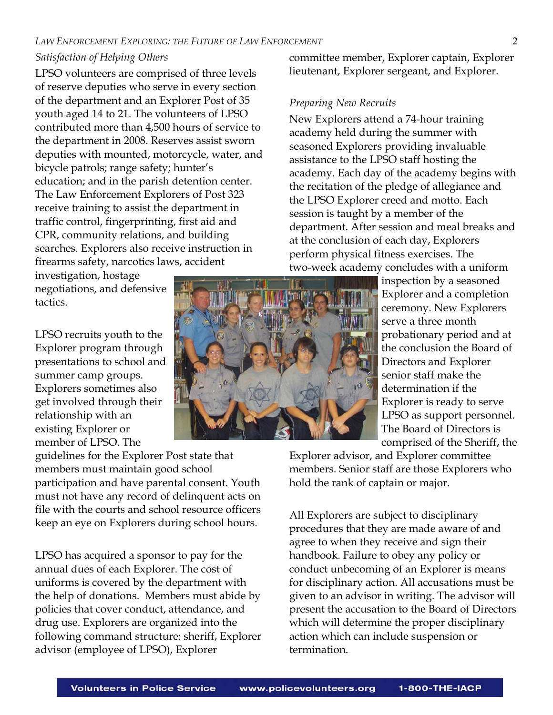#### *Satisfaction of Helping Others*

LPSO volunteers are comprised of three levels of reserve deputies who serve in every section of the department and an Explorer Post of 35 youth aged 14 to 21. The volunteers of LPSO contributed more than 4,500 hours of service to the department in 2008. Reserves assist sworn deputies with mounted, motorcycle, water, and bicycle patrols; range safety; hunter's education; and in the parish detention center. The Law Enforcement Explorers of Post 323 receive training to assist the department in traffic control, fingerprinting, first aid and CPR, community relations, and building searches. Explorers also receive instruction in firearms safety, narcotics laws, accident

investigation, hostage negotiations, and defensive tactics.

LPSO recruits youth to the Explorer program through presentations to school and summer camp groups. Explorers sometimes also get involved through their relationship with an existing Explorer or member of LPSO. The

guidelines for the Explorer Post state that members must maintain good school participation and have parental consent. Youth must not have any record of delinquent acts on file with the courts and school resource officers keep an eye on Explorers during school hours.

LPSO has acquired a sponsor to pay for the annual dues of each Explorer. The cost of uniforms is covered by the department with the help of donations. Members must abide by policies that cover conduct, attendance, and drug use. Explorers are organized into the following command structure: sheriff, Explorer advisor (employee of LPSO), Explorer

committee member, Explorer captain, Explorer lieutenant, Explorer sergeant, and Explorer.

#### *Preparing New Recruits*

New Explorers attend a 74-hour training academy held during the summer with seasoned Explorers providing invaluable assistance to the LPSO staff hosting the academy. Each day of the academy begins with the recitation of the pledge of allegiance and the LPSO Explorer creed and motto. Each session is taught by a member of the department. After session and meal breaks and at the conclusion of each day, Explorers perform physical fitness exercises. The two-week academy concludes with a uniform

> inspection by a seasoned Explorer and a completion ceremony. New Explorers serve a three month probationary period and at the conclusion the Board of Directors and Explorer senior staff make the determination if the Explorer is ready to serve LPSO as support personnel. The Board of Directors is comprised of the Sheriff, the

Explorer advisor, and Explorer committee members. Senior staff are those Explorers who hold the rank of captain or major.

All Explorers are subject to disciplinary procedures that they are made aware of and agree to when they receive and sign their handbook. Failure to obey any policy or conduct unbecoming of an Explorer is means for disciplinary action. All accusations must be given to an advisor in writing. The advisor will present the accusation to the Board of Directors which will determine the proper disciplinary action which can include suspension or termination.

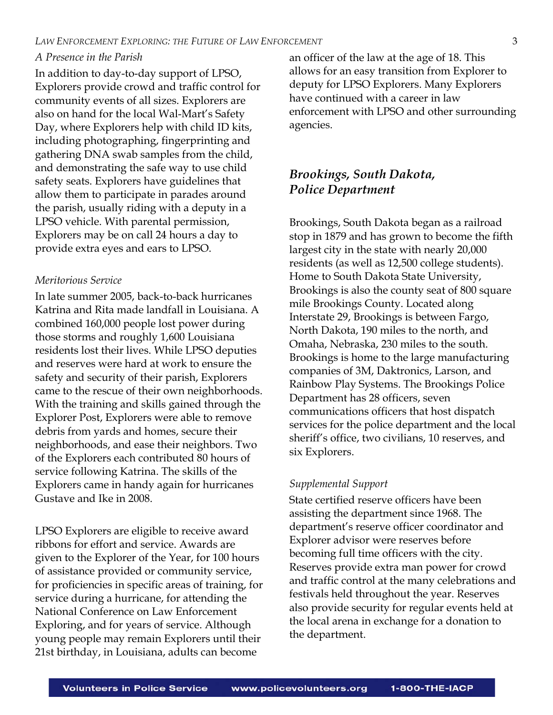#### *A Presence in the Parish*

In addition to day-to-day support of LPSO, Explorers provide crowd and traffic control for community events of all sizes. Explorers are also on hand for the local Wal-Mart's Safety Day, where Explorers help with child ID kits, including photographing, fingerprinting and gathering DNA swab samples from the child, and demonstrating the safe way to use child safety seats. Explorers have guidelines that allow them to participate in parades around the parish, usually riding with a deputy in a LPSO vehicle. With parental permission, Explorers may be on call 24 hours a day to provide extra eyes and ears to LPSO.

#### *Meritorious Service*

In late summer 2005, back-to-back hurricanes Katrina and Rita made landfall in Louisiana. A combined 160,000 people lost power during those storms and roughly 1,600 Louisiana residents lost their lives. While LPSO deputies and reserves were hard at work to ensure the safety and security of their parish, Explorers came to the rescue of their own neighborhoods. With the training and skills gained through the Explorer Post, Explorers were able to remove debris from yards and homes, secure their neighborhoods, and ease their neighbors. Two of the Explorers each contributed 80 hours of service following Katrina. The skills of the Explorers came in handy again for hurricanes Gustave and Ike in 2008.

LPSO Explorers are eligible to receive award ribbons for effort and service. Awards are given to the Explorer of the Year, for 100 hours of assistance provided or community service, for proficiencies in specific areas of training, for service during a hurricane, for attending the National Conference on Law Enforcement Exploring, and for years of service. Although young people may remain Explorers until their 21st birthday, in Louisiana, adults can become

an officer of the law at the age of 18. This allows for an easy transition from Explorer to deputy for LPSO Explorers. Many Explorers have continued with a career in law enforcement with LPSO and other surrounding agencies.

## *Brookings, South Dakota, Police Department*

Brookings, South Dakota began as a railroad stop in 1879 and has grown to become the fifth largest city in the state with nearly 20,000 residents (as well as 12,500 college students). Home to South Dakota State University, Brookings is also the county seat of 800 square mile Brookings County. Located along Interstate 29, Brookings is between Fargo, North Dakota, 190 miles to the north, and Omaha, Nebraska, 230 miles to the south. Brookings is home to the large manufacturing companies of 3M, Daktronics, Larson, and Rainbow Play Systems. The Brookings Police Department has 28 officers, seven communications officers that host dispatch services for the police department and the local sheriff's office, two civilians, 10 reserves, and six Explorers.

#### *Supplemental Support*

State certified reserve officers have been assisting the department since 1968. The department's reserve officer coordinator and Explorer advisor were reserves before becoming full time officers with the city. Reserves provide extra man power for crowd and traffic control at the many celebrations and festivals held throughout the year. Reserves also provide security for regular events held at the local arena in exchange for a donation to the department.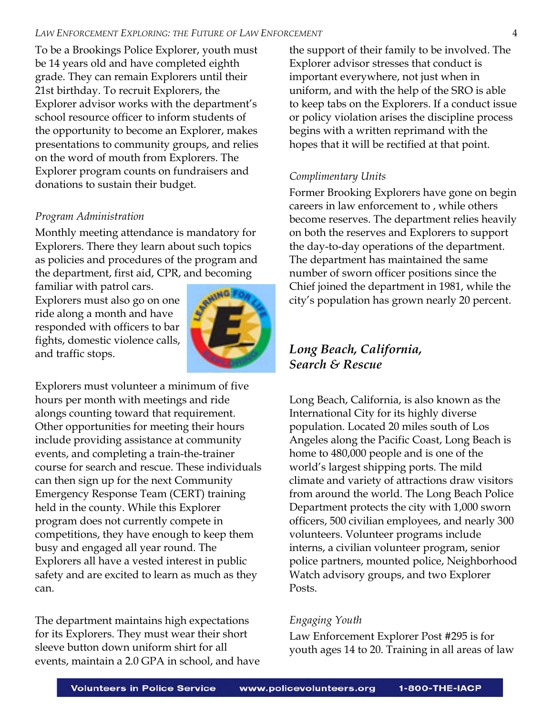#### *LAW ENFORCEMENT EXPLORING: THE FUTURE OF LAW ENFORCEMENT* 4

To be a Brookings Police Explorer, youth must be 14 years old and have completed eighth grade. They can remain Explorers until their 21st birthday. To recruit Explorers, the Explorer advisor works with the department's school resource officer to inform students of the opportunity to become an Explorer, makes presentations to community groups, and relies on the word of mouth from Explorers. The Explorer program counts on fundraisers and donations to sustain their budget.

#### *Program Administration*

Monthly meeting attendance is mandatory for Explorers. There they learn about such topics as policies and procedures of the program and the department, first aid, CPR, and becoming

familiar with patrol cars. Explorers must also go on one ride along a month and have responded with officers to bar fights, domestic violence calls, and traffic stops.



Explorers must volunteer a minimum of five hours per month with meetings and ride alongs counting toward that requirement. Other opportunities for meeting their hours include providing assistance at community events, and completing a train-the-trainer course for search and rescue. These individuals can then sign up for the next Community Emergency Response Team (CERT) training held in the county. While this Explorer program does not currently compete in competitions, they have enough to keep them busy and engaged all year round. The Explorers all have a vested interest in public safety and are excited to learn as much as they can.

The department maintains high expectations for its Explorers. They must wear their short sleeve button down uniform shirt for all events, maintain a 2.0 GPA in school, and have the support of their family to be involved. The Explorer advisor stresses that conduct is important everywhere, not just when in uniform, and with the help of the SRO is able to keep tabs on the Explorers. If a conduct issue or policy violation arises the discipline process begins with a written reprimand with the hopes that it will be rectified at that point.

#### *Complimentary Units*

Former Brooking Explorers have gone on begin careers in law enforcement to , while others become reserves. The department relies heavily on both the reserves and Explorers to support the day-to-day operations of the department. The department has maintained the same number of sworn officer positions since the Chief joined the department in 1981, while the city's population has grown nearly 20 percent.

## *Long Beach, California, Search & Rescue*

Long Beach, California, is also known as the International City for its highly diverse population. Located 20 miles south of Los Angeles along the Pacific Coast, Long Beach is home to 480,000 people and is one of the world's largest shipping ports. The mild climate and variety of attractions draw visitors from around the world. The Long Beach Police Department protects the city with 1,000 sworn officers, 500 civilian employees, and nearly 300 volunteers. Volunteer programs include interns, a civilian volunteer program, senior police partners, mounted police, Neighborhood Watch advisory groups, and two Explorer Posts.

#### *Engaging Youth*

Law Enforcement Explorer Post #295 is for youth ages 14 to 20. Training in all areas of law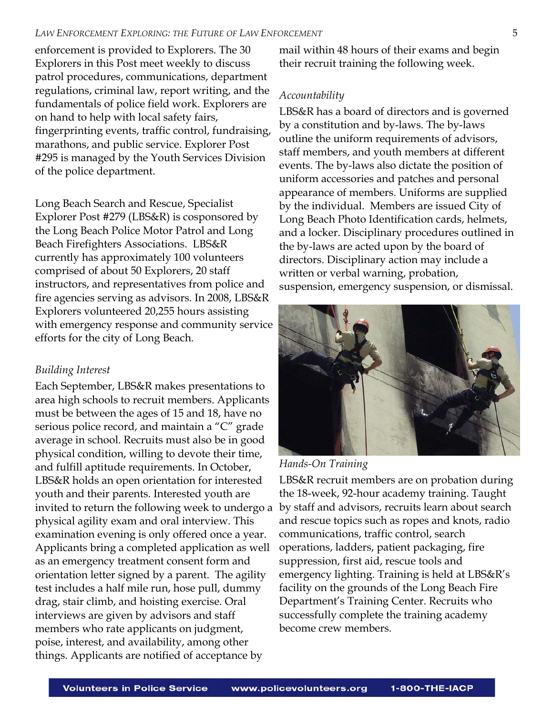#### *LAW ENFORCEMENT EXPLORING: THE FUTURE OF LAW ENFORCEMENT* 5

enforcement is provided to Explorers. The 30 Explorers in this Post meet weekly to discuss patrol procedures, communications, department regulations, criminal law, report writing, and the fundamentals of police field work. Explorers are on hand to help with local safety fairs, fingerprinting events, traffic control, fundraising, marathons, and public service. Explorer Post #295 is managed by the Youth Services Division of the police department.

Long Beach Search and Rescue, Specialist Explorer Post #279 (LBS&R) is cosponsored by the Long Beach Police Motor Patrol and Long Beach Firefighters Associations. LBS&R currently has approximately 100 volunteers comprised of about 50 Explorers, 20 staff instructors, and representatives from police and fire agencies serving as advisors. In 2008, LBS&R Explorers volunteered 20,255 hours assisting with emergency response and community service efforts for the city of Long Beach.

#### *Building Interest*

Each September, LBS&R makes presentations to area high schools to recruit members. Applicants must be between the ages of 15 and 18, have no serious police record, and maintain a "C" grade average in school. Recruits must also be in good physical condition, willing to devote their time, and fulfill aptitude requirements. In October, LBS&R holds an open orientation for interested youth and their parents. Interested youth are invited to return the following week to undergo a physical agility exam and oral interview. This examination evening is only offered once a year. Applicants bring a completed application as well as an emergency treatment consent form and orientation letter signed by a parent. The agility test includes a half mile run, hose pull, dummy drag, stair climb, and hoisting exercise. Oral interviews are given by advisors and staff members who rate applicants on judgment, poise, interest, and availability, among other things. Applicants are notified of acceptance by

mail within 48 hours of their exams and begin their recruit training the following week.

#### *Accountability*

LBS&R has a board of directors and is governed by a constitution and by-laws. The by-laws outline the uniform requirements of advisors, staff members, and youth members at different events. The by-laws also dictate the position of uniform accessories and patches and personal appearance of members. Uniforms are supplied by the individual. Members are issued City of Long Beach Photo Identification cards, helmets, and a locker. Disciplinary procedures outlined in the by-laws are acted upon by the board of directors. Disciplinary action may include a written or verbal warning, probation, suspension, emergency suspension, or dismissal.



#### *Hands-On Training*

LBS&R recruit members are on probation during the 18-week, 92-hour academy training. Taught by staff and advisors, recruits learn about search and rescue topics such as ropes and knots, radio communications, traffic control, search operations, ladders, patient packaging, fire suppression, first aid, rescue tools and emergency lighting. Training is held at LBS&R's facility on the grounds of the Long Beach Fire Department's Training Center. Recruits who successfully complete the training academy become crew members.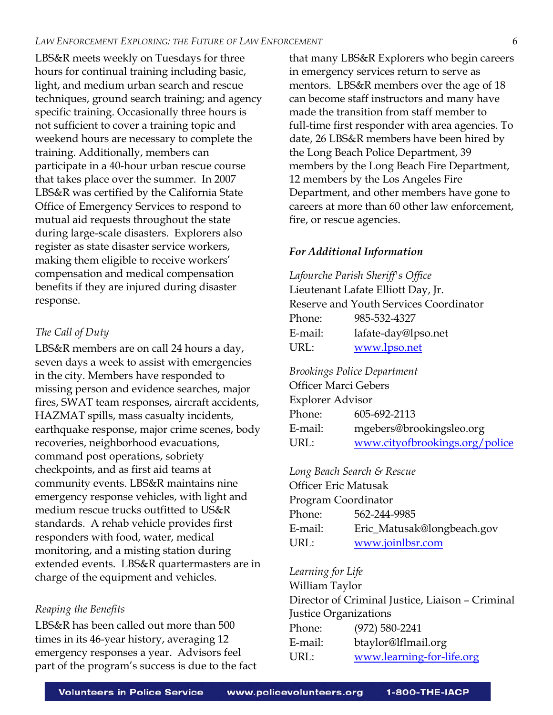LBS&R meets weekly on Tuesdays for three hours for continual training including basic, light, and medium urban search and rescue techniques, ground search training; and agency specific training. Occasionally three hours is not sufficient to cover a training topic and weekend hours are necessary to complete the training. Additionally, members can participate in a 40-hour urban rescue course that takes place over the summer. In 2007 LBS&R was certified by the California State Office of Emergency Services to respond to mutual aid requests throughout the state during large-scale disasters. Explorers also register as state disaster service workers, making them eligible to receive workers' compensation and medical compensation benefits if they are injured during disaster response.

#### *The Call of Duty*

LBS&R members are on call 24 hours a day, seven days a week to assist with emergencies in the city. Members have responded to missing person and evidence searches, major fires, SWAT team responses, aircraft accidents, HAZMAT spills, mass casualty incidents, earthquake response, major crime scenes, body recoveries, neighborhood evacuations, command post operations, sobriety checkpoints, and as first aid teams at community events. LBS&R maintains nine emergency response vehicles, with light and medium rescue trucks outfitted to US&R standards. A rehab vehicle provides first responders with food, water, medical monitoring, and a misting station during extended events. LBS&R quartermasters are in charge of the equipment and vehicles.

#### *Reaping the Benefits*

LBS&R has been called out more than 500 times in its 46-year history, averaging 12 emergency responses a year. Advisors feel part of the program's success is due to the fact that many LBS&R Explorers who begin careers in emergency services return to serve as mentors. LBS&R members over the age of 18 can become staff instructors and many have made the transition from staff member to full-time first responder with area agencies. To date, 26 LBS&R members have been hired by the Long Beach Police Department, 39 members by the Long Beach Fire Department, 12 members by the Los Angeles Fire Department, and other members have gone to careers at more than 60 other law enforcement, fire, or rescue agencies.

#### *For Additional Information*

*Lafourche Parish Sheriff's Office*  Lieutenant Lafate Elliott Day, Jr. Reserve and Youth Services Coordinator Phone: 985-532-4327 E-mail: lafate-day@lpso.net URL: www.lpso.net

*Brookings Police Department*  Officer Marci Gebers Explorer Advisor Phone: 605-692-2113 E-mail: mgebers@brookingsleo.org URL: www.cityofbrookings.org/police

*Long Beach Search & Rescue*  Officer Eric Matusak Program Coordinator Phone: 562-244-9985 E-mail: Eric\_Matusak@longbeach.gov URL: www.joinlbsr.com

#### *Learning for Life*

William Taylor Director of Criminal Justice, Liaison – Criminal Justice Organizations Phone: (972) 580-2241 E-mail: btaylor@lflmail.org URL: [www.learning-for-life.org](http://www.learning-for-life.org/exploring/lawenforcement/index.html)